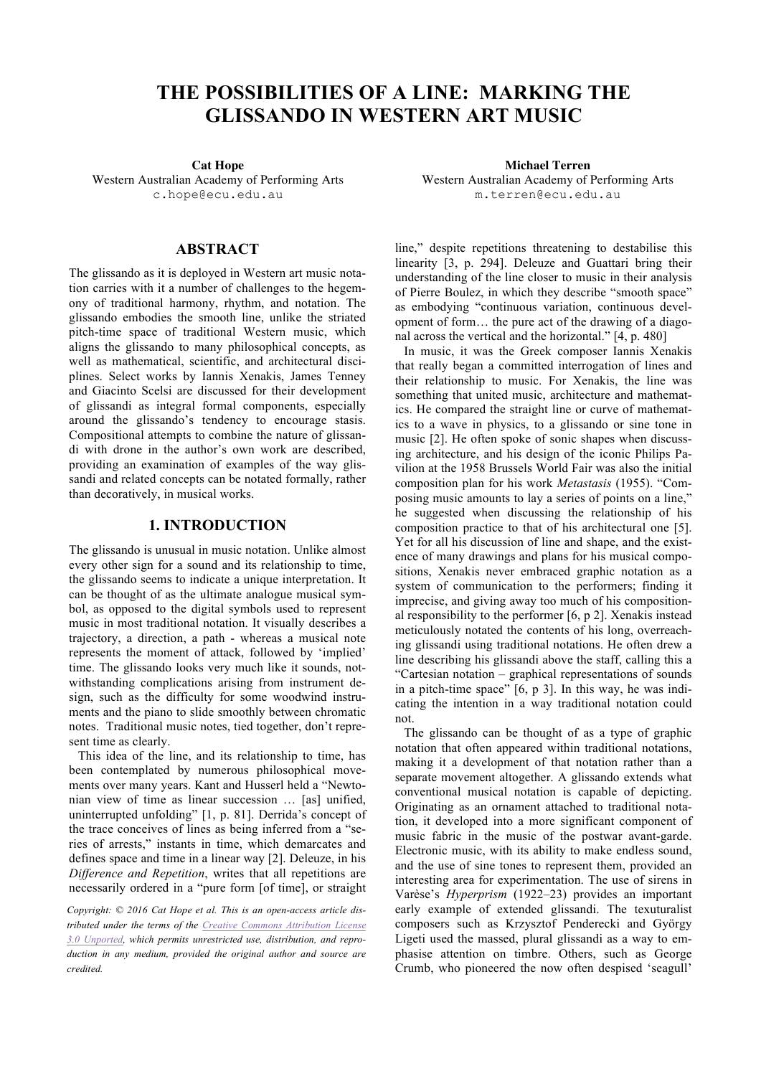# **THE POSSIBILITIES OF A LINE: MARKING THE GLISSANDO IN WESTERN ART MUSIC**

Western Australian Academy of Performing Arts [c.hope@ecu.edu.au](mailto:author1@adomain.org?subject=TENOR 2015 paper)

## **ABSTRACT**

The glissando as it is deployed in Western art music notation carries with it a number of challenges to the hegemony of traditional harmony, rhythm, and notation. The glissando embodies the smooth line, unlike the striated pitch-time space of traditional Western music, which aligns the glissando to many philosophical concepts, as well as mathematical, scientific, and architectural disciplines. Select works by Iannis Xenakis, James Tenney and Giacinto Scelsi are discussed for their development of glissandi as integral formal components, especially around the glissando's tendency to encourage stasis. Compositional attempts to combine the nature of glissandi with drone in the author's own work are described, providing an examination of examples of the way glissandi and related concepts can be notated formally, rather than decoratively, in musical works.

# **1. INTRODUCTION**

The glissando is unusual in music notation. Unlike almost every other sign for a sound and its relationship to time, the glissando seems to indicate a unique interpretation. It can be thought of as the ultimate analogue musical symbol, as opposed to the digital symbols used to represent music in most traditional notation. It visually describes a trajectory, a direction, a path - whereas a musical note represents the moment of attack, followed by 'implied' time. The glissando looks very much like it sounds, notwithstanding complications arising from instrument design, such as the difficulty for some woodwind instruments and the piano to slide smoothly between chromatic notes. Traditional music notes, tied together, don't represent time as clearly.

This idea of the line, and its relationship to time, has been contemplated by numerous philosophical movements over many years. Kant and Husserl held a "Newtonian view of time as linear succession … [as] unified, uninterrupted unfolding" [1, p. 81]. Derrida's concept of the trace conceives of lines as being inferred from a "series of arrests," instants in time, which demarcates and defines space and time in a linear way [2]. Deleuze, in his *Difference and Repetition*, writes that all repetitions are necessarily ordered in a "pure form [of time], or straight

*Copyright: © 2016 Cat Hope et al. This is an open-access article distributed under the terms of the [Creative Commons Attribution License](http://creativecommons.org/licenses/by/3.0/) [3.0 Unported](http://creativecommons.org/licenses/by/3.0/), which permits unrestricted use, distribution, and reproduction in any medium, provided the original author and source are credited.*

**Cat Hope Michael Terren** Western Australian Academy of Performing Arts [m.terren@ecu.edu.au](mailto:author2@adomain.org)

> line," despite repetitions threatening to destabilise this linearity [3, p. 294]. Deleuze and Guattari bring their understanding of the line closer to music in their analysis of Pierre Boulez, in which they describe "smooth space" as embodying "continuous variation, continuous development of form… the pure act of the drawing of a diagonal across the vertical and the horizontal." [4, p. 480]

> In music, it was the Greek composer Iannis Xenakis that really began a committed interrogation of lines and their relationship to music. For Xenakis, the line was something that united music, architecture and mathematics. He compared the straight line or curve of mathematics to a wave in physics, to a glissando or sine tone in music [2]. He often spoke of sonic shapes when discussing architecture, and his design of the iconic Philips Pavilion at the 1958 Brussels World Fair was also the initial composition plan for his work *Metastasis* (1955). "Composing music amounts to lay a series of points on a line," he suggested when discussing the relationship of his composition practice to that of his architectural one [5]. Yet for all his discussion of line and shape, and the existence of many drawings and plans for his musical compositions, Xenakis never embraced graphic notation as a system of communication to the performers; finding it imprecise, and giving away too much of his compositional responsibility to the performer [6, p 2]. Xenakis instead meticulously notated the contents of his long, overreaching glissandi using traditional notations. He often drew a line describing his glissandi above the staff, calling this a "Cartesian notation – graphical representations of sounds in a pitch-time space" [6, p 3]. In this way, he was indicating the intention in a way traditional notation could not.

> The glissando can be thought of as a type of graphic notation that often appeared within traditional notations, making it a development of that notation rather than a separate movement altogether. A glissando extends what conventional musical notation is capable of depicting. Originating as an ornament attached to traditional notation, it developed into a more significant component of music fabric in the music of the postwar avant-garde. Electronic music, with its ability to make endless sound, and the use of sine tones to represent them, provided an interesting area for experimentation. The use of sirens in Varèse's *Hyperprism* (1922–23) provides an important early example of extended glissandi. The texuturalist composers such as Krzysztof Penderecki and György Ligeti used the massed, plural glissandi as a way to emphasise attention on timbre. Others, such as George Crumb, who pioneered the now often despised 'seagull'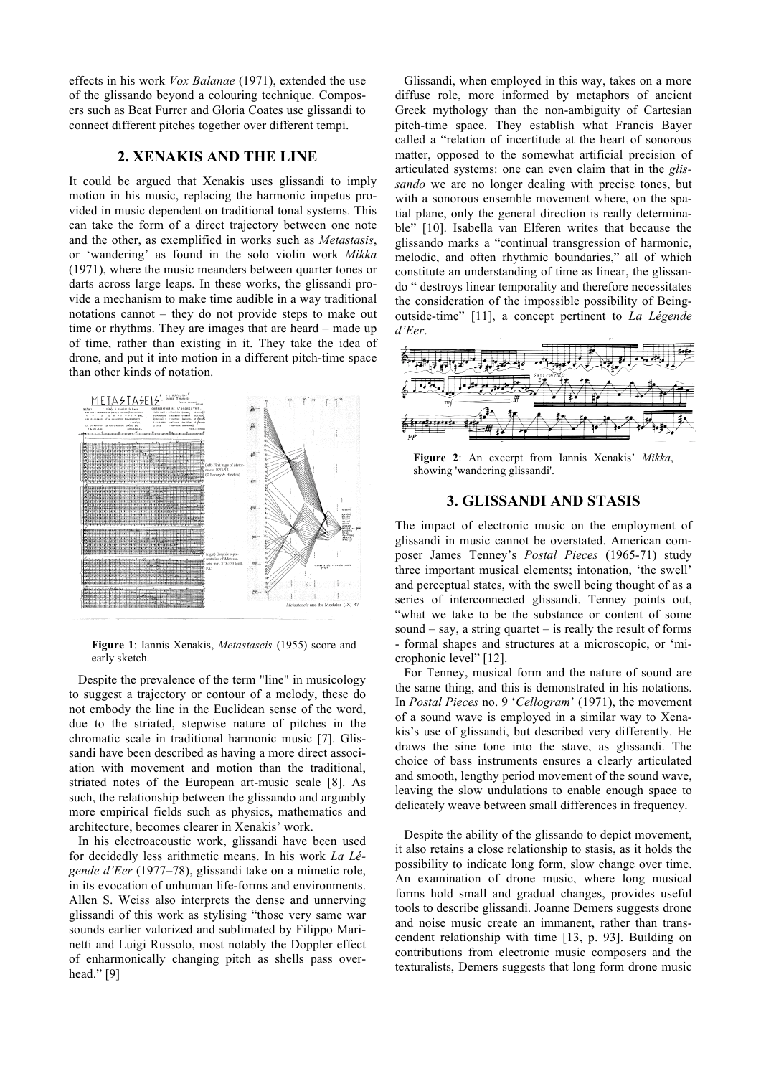effects in his work *Vox Balanae* (1971), extended the use of the glissando beyond a colouring technique. Composers such as Beat Furrer and Gloria Coates use glissandi to connect different pitches together over different tempi.

### **2. XENAKIS AND THE LINE**

It could be argued that Xenakis uses glissandi to imply motion in his music, replacing the harmonic impetus provided in music dependent on traditional tonal systems. This can take the form of a direct trajectory between one note and the other, as exemplified in works such as *Metastasis*, or 'wandering' as found in the solo violin work *Mikka* (1971), where the music meanders between quarter tones or darts across large leaps. In these works, the glissandi provide a mechanism to make time audible in a way traditional notations cannot – they do not provide steps to make out time or rhythms. They are images that are heard – made up of time, rather than existing in it. They take the idea of drone, and put it into motion in a different pitch-time space than other kinds of notation.



**Figure 1**: Iannis Xenakis, *Metastaseis* (1955) score and early sketch.

Despite the prevalence of the term "line" in musicology to suggest a trajectory or contour of a melody, these do not embody the line in the Euclidean sense of the word, due to the striated, stepwise nature of pitches in the chromatic scale in traditional harmonic music [7]. Glissandi have been described as having a more direct association with movement and motion than the traditional, striated notes of the European art-music scale [8]. As such, the relationship between the glissando and arguably more empirical fields such as physics, mathematics and architecture, becomes clearer in Xenakis' work.

In his electroacoustic work, glissandi have been used for decidedly less arithmetic means. In his work *La Légende d'Eer* (1977–78), glissandi take on a mimetic role, in its evocation of unhuman life-forms and environments. Allen S. Weiss also interprets the dense and unnerving glissandi of this work as stylising "those very same war sounds earlier valorized and sublimated by Filippo Marinetti and Luigi Russolo, most notably the Doppler effect of enharmonically changing pitch as shells pass overhead." [9]

Glissandi, when employed in this way, takes on a more diffuse role, more informed by metaphors of ancient Greek mythology than the non-ambiguity of Cartesian pitch-time space. They establish what Francis Bayer called a "relation of incertitude at the heart of sonorous matter, opposed to the somewhat artificial precision of articulated systems: one can even claim that in the *glissando* we are no longer dealing with precise tones, but with a sonorous ensemble movement where, on the spatial plane, only the general direction is really determinable" [10]. Isabella van Elferen writes that because the glissando marks a "continual transgression of harmonic, melodic, and often rhythmic boundaries," all of which constitute an understanding of time as linear, the glissando " destroys linear temporality and therefore necessitates the consideration of the impossible possibility of Beingoutside-time" [11], a concept pertinent to *La Légende d'Eer*.



**Figure 2**: An excerpt from Iannis Xenakis' *Mikka*, showing 'wandering glissandi'.

#### **3. GLISSANDI AND STASIS**

The impact of electronic music on the employment of glissandi in music cannot be overstated. American composer James Tenney's *Postal Pieces* (1965-71) study three important musical elements; intonation, 'the swell' and perceptual states, with the swell being thought of as a series of interconnected glissandi. Tenney points out, "what we take to be the substance or content of some sound  $-$  say, a string quartet  $-$  is really the result of forms - formal shapes and structures at a microscopic, or 'microphonic level" [12].

For Tenney, musical form and the nature of sound are the same thing, and this is demonstrated in his notations. In *Postal Pieces* no. 9 '*Cellogram*' (1971), the movement of a sound wave is employed in a similar way to Xenakis's use of glissandi, but described very differently. He draws the sine tone into the stave, as glissandi. The choice of bass instruments ensures a clearly articulated and smooth, lengthy period movement of the sound wave, leaving the slow undulations to enable enough space to delicately weave between small differences in frequency.

Despite the ability of the glissando to depict movement, it also retains a close relationship to stasis, as it holds the possibility to indicate long form, slow change over time. An examination of drone music, where long musical forms hold small and gradual changes, provides useful tools to describe glissandi. Joanne Demers suggests drone and noise music create an immanent, rather than transcendent relationship with time [13, p. 93]. Building on contributions from electronic music composers and the texturalists, Demers suggests that long form drone music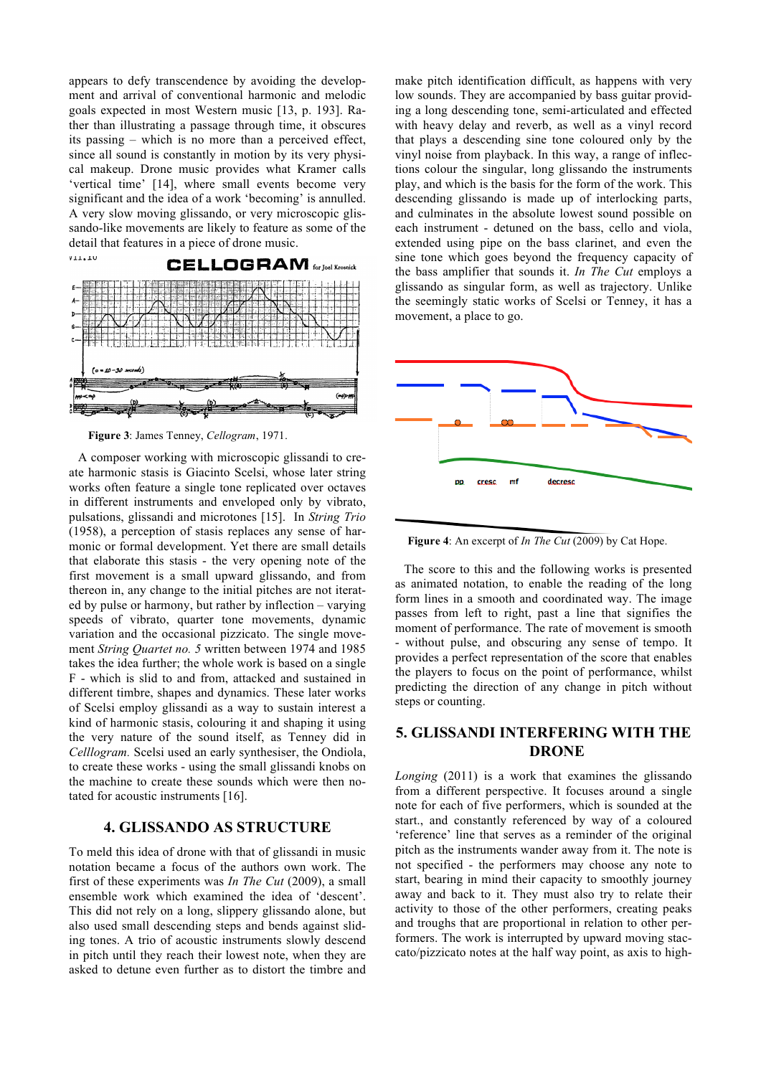appears to defy transcendence by avoiding the development and arrival of conventional harmonic and melodic goals expected in most Western music [13, p. 193]. Rather than illustrating a passage through time, it obscures its passing – which is no more than a perceived effect, since all sound is constantly in motion by its very physical makeup. Drone music provides what Kramer calls 'vertical time' [14], where small events become very significant and the idea of a work 'becoming' is annulled. A very slow moving glissando, or very microscopic glissando-like movements are likely to feature as some of the detail that features in a piece of drone music.



**Figure 3**: James Tenney, *Cellogram*, 1971.

A composer working with microscopic glissandi to create harmonic stasis is Giacinto Scelsi, whose later string works often feature a single tone replicated over octaves in different instruments and enveloped only by vibrato, pulsations, glissandi and microtones [15]. In *String Trio* (1958), a perception of stasis replaces any sense of harmonic or formal development. Yet there are small details that elaborate this stasis - the very opening note of the first movement is a small upward glissando, and from thereon in, any change to the initial pitches are not iterated by pulse or harmony, but rather by inflection – varying speeds of vibrato, quarter tone movements, dynamic variation and the occasional pizzicato. The single movement *String Quartet no. 5* written between 1974 and 1985 takes the idea further; the whole work is based on a single F - which is slid to and from, attacked and sustained in different timbre, shapes and dynamics. These later works of Scelsi employ glissandi as a way to sustain interest a kind of harmonic stasis, colouring it and shaping it using the very nature of the sound itself, as Tenney did in *Celllogram.* Scelsi used an early synthesiser, the Ondiola, to create these works - using the small glissandi knobs on the machine to create these sounds which were then notated for acoustic instruments [16].

# **4. GLISSANDO AS STRUCTURE**

To meld this idea of drone with that of glissandi in music notation became a focus of the authors own work. The first of these experiments was *In The Cut* (2009), a small ensemble work which examined the idea of 'descent'. This did not rely on a long, slippery glissando alone, but also used small descending steps and bends against sliding tones. A trio of acoustic instruments slowly descend in pitch until they reach their lowest note, when they are asked to detune even further as to distort the timbre and

make pitch identification difficult, as happens with very low sounds. They are accompanied by bass guitar providing a long descending tone, semi-articulated and effected with heavy delay and reverb, as well as a vinyl record that plays a descending sine tone coloured only by the vinyl noise from playback. In this way, a range of inflections colour the singular, long glissando the instruments play, and which is the basis for the form of the work. This descending glissando is made up of interlocking parts, and culminates in the absolute lowest sound possible on each instrument - detuned on the bass, cello and viola, extended using pipe on the bass clarinet, and even the sine tone which goes beyond the frequency capacity of the bass amplifier that sounds it. *In The Cut* employs a glissando as singular form, as well as trajectory. Unlike the seemingly static works of Scelsi or Tenney, it has a movement, a place to go.



**Figure 4**: An excerpt of *In The Cut* (2009) by Cat Hope.

The score to this and the following works is presented as animated notation, to enable the reading of the long form lines in a smooth and coordinated way. The image passes from left to right, past a line that signifies the moment of performance. The rate of movement is smooth - without pulse, and obscuring any sense of tempo. It provides a perfect representation of the score that enables the players to focus on the point of performance, whilst predicting the direction of any change in pitch without steps or counting.

# **5. GLISSANDI INTERFERING WITH THE DRONE**

*Longing* (2011) is a work that examines the glissando from a different perspective. It focuses around a single note for each of five performers, which is sounded at the start., and constantly referenced by way of a coloured 'reference' line that serves as a reminder of the original pitch as the instruments wander away from it. The note is not specified - the performers may choose any note to start, bearing in mind their capacity to smoothly journey away and back to it. They must also try to relate their activity to those of the other performers, creating peaks and troughs that are proportional in relation to other performers. The work is interrupted by upward moving staccato/pizzicato notes at the half way point, as axis to high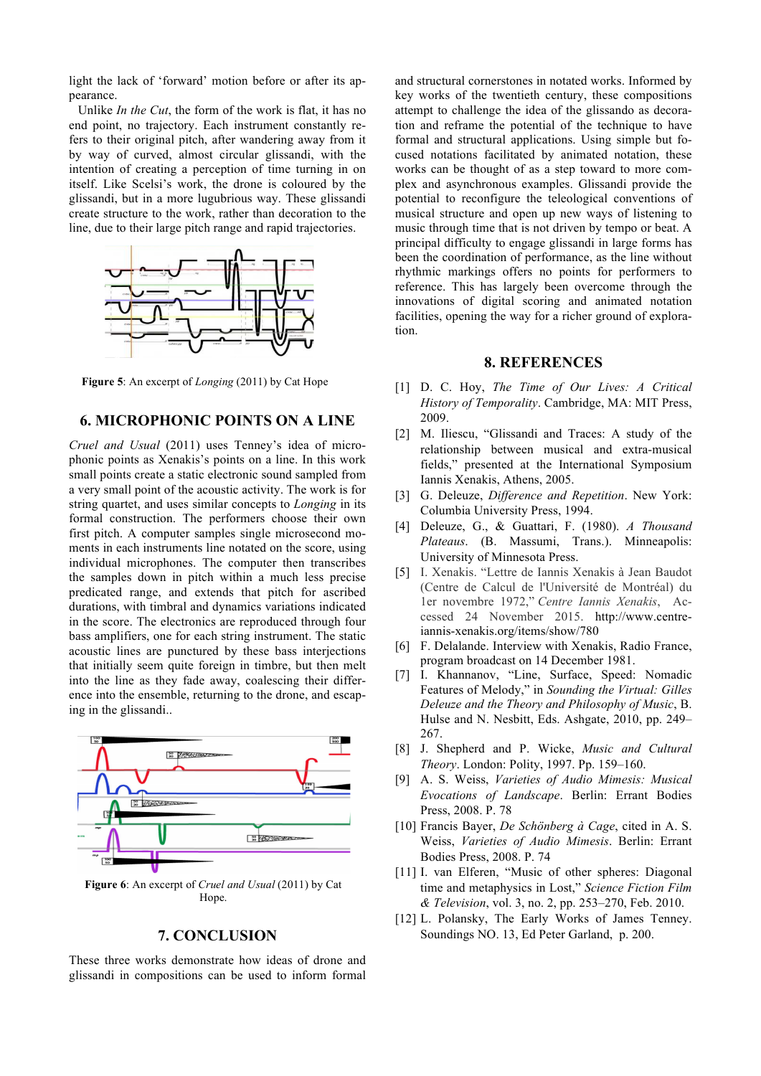light the lack of 'forward' motion before or after its appearance.

Unlike *In the Cut*, the form of the work is flat, it has no end point, no trajectory. Each instrument constantly refers to their original pitch, after wandering away from it by way of curved, almost circular glissandi, with the intention of creating a perception of time turning in on itself. Like Scelsi's work, the drone is coloured by the glissandi, but in a more lugubrious way. These glissandi create structure to the work, rather than decoration to the line, due to their large pitch range and rapid trajectories.



**Figure 5**: An excerpt of *Longing* (2011) by Cat Hope

### **6. MICROPHONIC POINTS ON A LINE**

*Cruel and Usual* (2011) uses Tenney's idea of microphonic points as Xenakis's points on a line. In this work small points create a static electronic sound sampled from a very small point of the acoustic activity. The work is for string quartet, and uses similar concepts to *Longing* in its formal construction. The performers choose their own first pitch. A computer samples single microsecond moments in each instruments line notated on the score, using individual microphones. The computer then transcribes the samples down in pitch within a much less precise predicated range, and extends that pitch for ascribed durations, with timbral and dynamics variations indicated in the score. The electronics are reproduced through four bass amplifiers, one for each string instrument. The static acoustic lines are punctured by these bass interjections that initially seem quite foreign in timbre, but then melt into the line as they fade away, coalescing their difference into the ensemble, returning to the drone, and escaping in the glissandi..



**Figure 6**: An excerpt of *Cruel and Usual* (2011) by Cat Hope.

## **7. CONCLUSION**

These three works demonstrate how ideas of drone and glissandi in compositions can be used to inform formal and structural cornerstones in notated works. Informed by key works of the twentieth century, these compositions attempt to challenge the idea of the glissando as decoration and reframe the potential of the technique to have formal and structural applications. Using simple but focused notations facilitated by animated notation, these works can be thought of as a step toward to more complex and asynchronous examples. Glissandi provide the potential to reconfigure the teleological conventions of musical structure and open up new ways of listening to music through time that is not driven by tempo or beat. A principal difficulty to engage glissandi in large forms has been the coordination of performance, as the line without rhythmic markings offers no points for performers to reference. This has largely been overcome through the innovations of digital scoring and animated notation facilities, opening the way for a richer ground of exploration.

### **8. REFERENCES**

- [1] D. C. Hoy, *The Time of Our Lives: A Critical History of Temporality*. Cambridge, MA: MIT Press, 2009.
- [2] M. Iliescu, "Glissandi and Traces: A study of the relationship between musical and extra-musical fields," presented at the International Symposium Iannis Xenakis, Athens, 2005.
- [3] G. Deleuze, *Difference and Repetition*. New York: Columbia University Press, 1994.
- [4] Deleuze, G., & Guattari, F. (1980). *A Thousand Plateaus*. (B. Massumi, Trans.). Minneapolis: University of Minnesota Press.
- [5] I. Xenakis. "Lettre de Iannis Xenakis à Jean Baudot (Centre de Calcul de l'Université de Montréal) du 1er novembre 1972," *Centre Iannis Xenakis*, Accessed 24 November 2015. [http://www.centre](http://www.centre-iannis-xenakis.org/items/show/780)[iannis-xenakis.org/items/show/780](http://www.centre-iannis-xenakis.org/items/show/780)
- [6] F. Delalande. Interview with Xenakis, Radio France, program broadcast on 14 December 1981.
- [7] I. Khannanov, "Line, Surface, Speed: Nomadic Features of Melody," in *Sounding the Virtual: Gilles Deleuze and the Theory and Philosophy of Music*, B. Hulse and N. Nesbitt, Eds. Ashgate, 2010, pp. 249– 267.
- [8] J. Shepherd and P. Wicke, *Music and Cultural Theory*. London: Polity, 1997. Pp. 159–160.
- [9] A. S. Weiss, *Varieties of Audio Mimesis: Musical Evocations of Landscape*. Berlin: Errant Bodies Press, 2008. P. 78
- [10] Francis Bayer, *De Schönberg à Cage*, cited in A. S. Weiss, *Varieties of Audio Mimesis*. Berlin: Errant Bodies Press, 2008. P. 74
- [11] I. van Elferen, "Music of other spheres: Diagonal time and metaphysics in Lost," *Science Fiction Film & Television*, vol. 3, no. 2, pp. 253–270, Feb. 2010.
- [12] L. Polansky, The Early Works of James Tenney. Soundings NO. 13, Ed Peter Garland, p. 200.